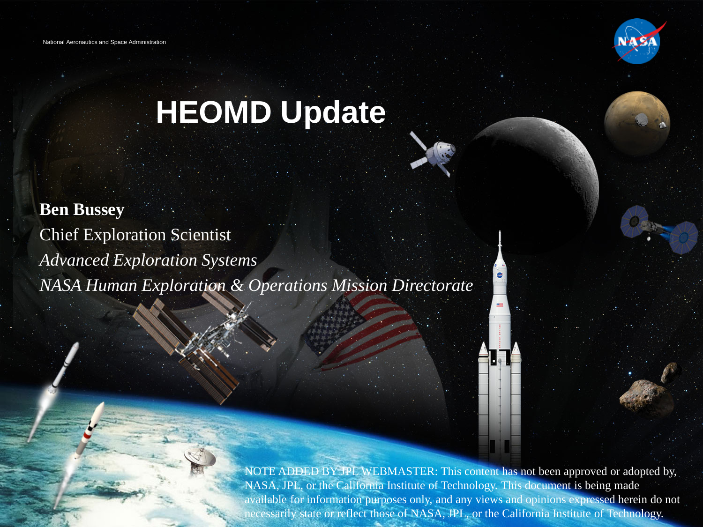

# **HEOMD Update**

**Ben Bussey** Chief Exploration Scientist *Advanced Exploration Systems NASA Human Exploration & Operations Mission Directorate*

> available for information purposes only, and any views and opinions expressed herein do not NOTE ADDED BY JPL WEBMASTER: This content has not been approved or adopted by, NASA, JPL, or the California Institute of Technology. This document is being made necessarily state or reflect those of NASA, JPL, or the California Institute of Technology.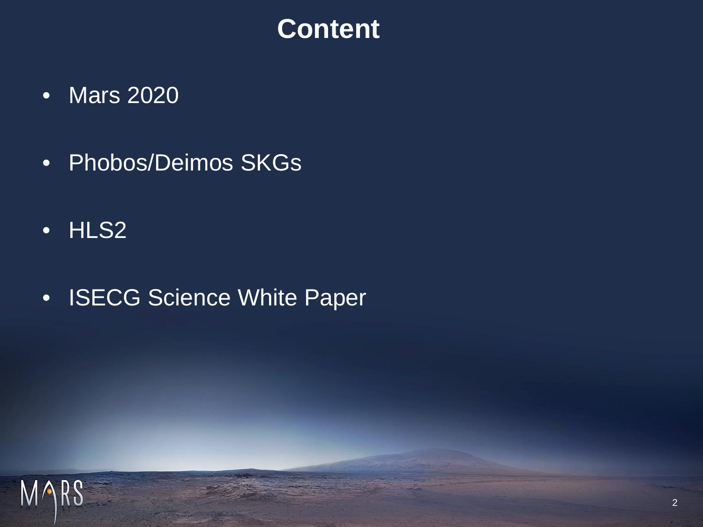## **Content**

- Mars 2020
- Phobos/Deimos SKGs
- HLS2
- ISECG Science White Paper

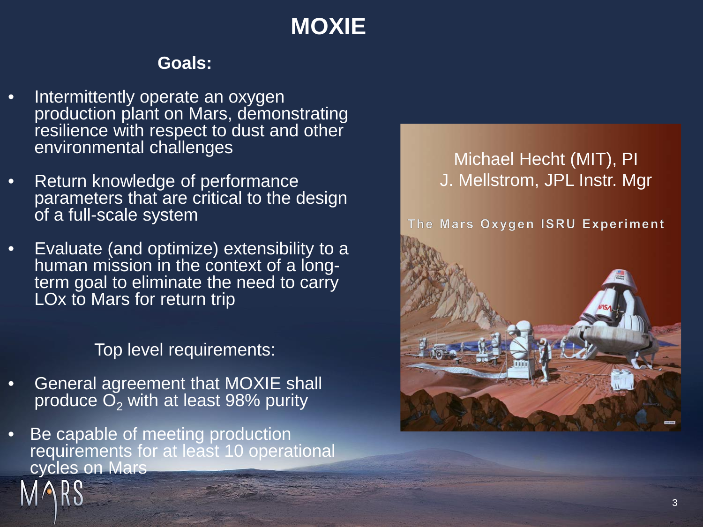## **MOXIE**

#### **Goals:**

- Intermittently operate an oxygen production plant on Mars, demonstrating resilience with respect to dust and other environmental challenges
- Return knowledge of performance parameters that are critical to the design of a full-scale system
- Evaluate (and optimize) extensibility to a<br>human mission in the context of a longterm goal to eliminate the need to carry LOx to Mars for return trip

Top level requirements:

- General agreement that MOXIE shall produce  $O<sub>2</sub>$  with at least 98% purity
- Be capable of meeting production requirements for at least 10 operational cycles on Mars





#### The Mars Oxygen ISRU Experiment

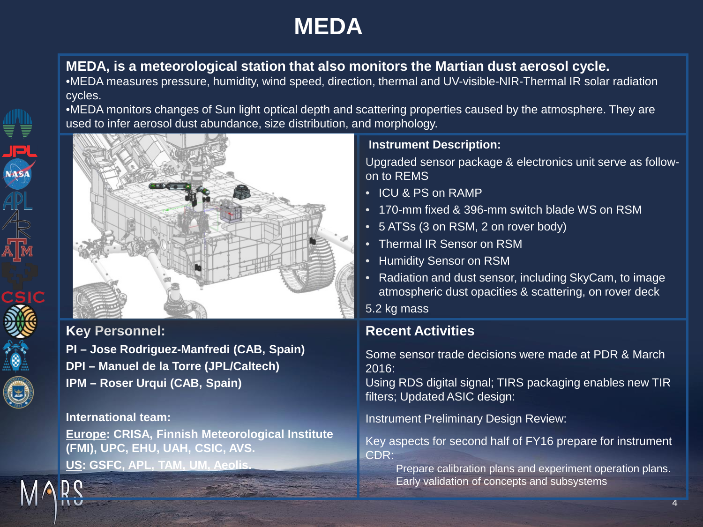### **MEDA**

#### **MEDA, is a meteorological station that also monitors the Martian dust aerosol cycle.**

•MEDA measures pressure, humidity, wind speed, direction, thermal and UV-visible-NIR-Thermal IR solar radiation cycles.

•MEDA monitors changes of Sun light optical depth and scattering properties caused by the atmosphere. They are used to infer aerosol dust abundance, size distribution, and morphology.



#### **Key Personnel:**

**PI – Jose Rodriguez-Manfredi (CAB, Spain) DPI – Manuel de la Torre (JPL/Caltech) IPM – Roser Urqui (CAB, Spain)**

#### **International team:**

**Europe: CRISA, Finnish Meteorological Institute (FMI), UPC, EHU, UAH, CSIC, AVS. US: GSFC, APL, TAM, UM, Aeolis.**

#### **Instrument Description:**

Upgraded sensor package & electronics unit serve as followon to REMS

- ICU & PS on RAMP
- 170-mm fixed & 396-mm switch blade WS on RSM
- 5 ATSs (3 on RSM, 2 on rover body)
- Thermal IR Sensor on RSM
- Humidity Sensor on RSM
- Radiation and dust sensor, including SkyCam, to image atmospheric dust opacities & scattering, on rover deck
- 5.2 kg mass

#### **Recent Activities**

Some sensor trade decisions were made at PDR & March 2016:

Using RDS digital signal; TIRS packaging enables new TIR filters; Updated ASIC design:

Instrument Preliminary Design Review:

Key aspects for second half of FY16 prepare for instrument CDR:

Prepare calibration plans and experiment operation plans. Early validation of concepts and subsystems

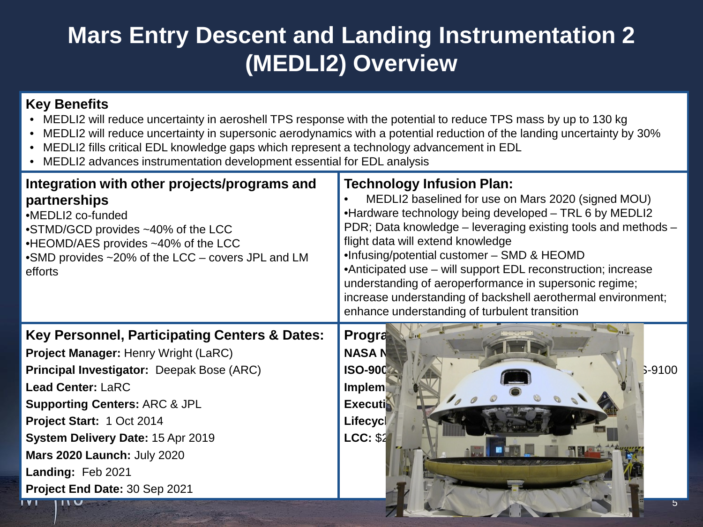### **Mars Entry Descent and Landing Instrumentation 2 (MEDLI2) Overview**

#### **Key Benefits**

- MEDLI2 will reduce uncertainty in aeroshell TPS response with the potential to reduce TPS mass by up to 130 kg
- MEDLI2 will reduce uncertainty in supersonic aerodynamics with a potential reduction of the landing uncertainty by 30%
- MEDLI2 fills critical EDL knowledge gaps which represent a technology advancement in EDL
- MEDLI2 advances instrumentation development essential for EDL analysis

| Integration with other projects/programs and<br>partnerships<br>•MEDLI2 co-funded<br>•STMD/GCD provides ~40% of the LCC<br>•HEOMD/AES provides ~40% of the LCC<br>•SMD provides ~20% of the LCC – covers JPL and LM<br>efforts | <b>Technology Infusion Plan:</b><br>MEDLI2 baselined for use on Mars 2020 (signed MOU)<br>•Hardware technology being developed - TRL 6 by MEDLI2<br>PDR; Data knowledge – leveraging existing tools and methods –<br>flight data will extend knowledge<br>.Infusing/potential customer - SMD & HEOMD<br>•Anticipated use – will support EDL reconstruction; increase<br>understanding of aeroperformance in supersonic regime;<br>increase understanding of backshell aerothermal environment;<br>enhance understanding of turbulent transition |
|--------------------------------------------------------------------------------------------------------------------------------------------------------------------------------------------------------------------------------|-------------------------------------------------------------------------------------------------------------------------------------------------------------------------------------------------------------------------------------------------------------------------------------------------------------------------------------------------------------------------------------------------------------------------------------------------------------------------------------------------------------------------------------------------|
| Key Personnel, Participating Centers & Dates:                                                                                                                                                                                  | Progra                                                                                                                                                                                                                                                                                                                                                                                                                                                                                                                                          |
| <b>Project Manager: Henry Wright (LaRC)</b>                                                                                                                                                                                    | <b>NASAN</b>                                                                                                                                                                                                                                                                                                                                                                                                                                                                                                                                    |
| Principal Investigator: Deepak Bose (ARC)                                                                                                                                                                                      | <b>ISO-900</b><br>$S-9100$                                                                                                                                                                                                                                                                                                                                                                                                                                                                                                                      |
| <b>Lead Center: LaRC</b>                                                                                                                                                                                                       | <b>Implem</b>                                                                                                                                                                                                                                                                                                                                                                                                                                                                                                                                   |
| <b>Supporting Centers: ARC &amp; JPL</b>                                                                                                                                                                                       | <b>Executi</b>                                                                                                                                                                                                                                                                                                                                                                                                                                                                                                                                  |
| Project Start: 1 Oct 2014                                                                                                                                                                                                      | Lifecycl                                                                                                                                                                                                                                                                                                                                                                                                                                                                                                                                        |
| System Delivery Date: 15 Apr 2019                                                                                                                                                                                              | LCC: \$2                                                                                                                                                                                                                                                                                                                                                                                                                                                                                                                                        |
| <b>Mars 2020 Launch: July 2020</b>                                                                                                                                                                                             |                                                                                                                                                                                                                                                                                                                                                                                                                                                                                                                                                 |
| Landing: Feb 2021                                                                                                                                                                                                              |                                                                                                                                                                                                                                                                                                                                                                                                                                                                                                                                                 |
| Project End Date: 30 Sep 2021                                                                                                                                                                                                  |                                                                                                                                                                                                                                                                                                                                                                                                                                                                                                                                                 |
| <b>UIL</b>                                                                                                                                                                                                                     |                                                                                                                                                                                                                                                                                                                                                                                                                                                                                                                                                 |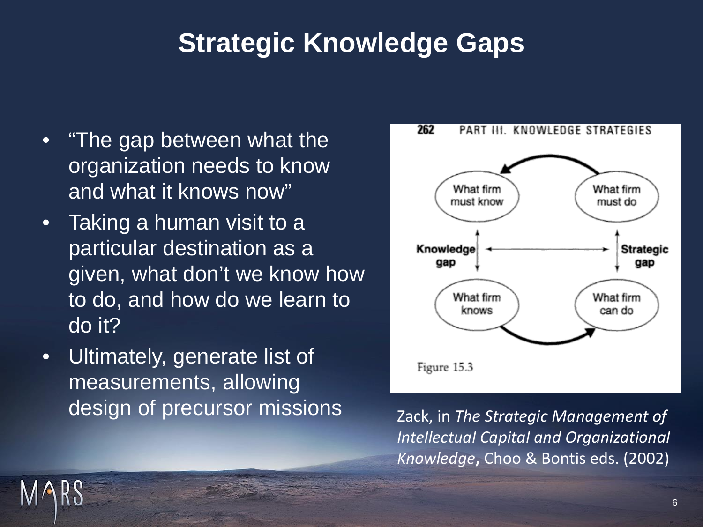## **Strategic Knowledge Gaps**

- "The gap between what the organization needs to know and what it knows now"
- Taking a human visit to a particular destination as a given, what don't we know how to do, and how do we learn to do it?
- Ultimately, generate list of measurements, allowing design of precursor missions Zack, in *The Strategic Management of*



*Intellectual Capital and Organizational Knowledge***,** Choo & Bontis eds. (2002)

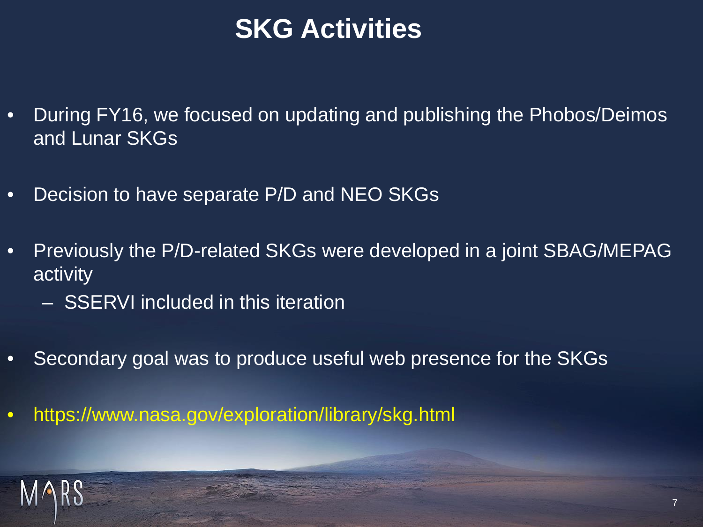## **SKG Activities**

- During FY16, we focused on updating and publishing the Phobos/Deimos and Lunar SKGs
- Decision to have separate P/D and NEO SKGs
- Previously the P/D-related SKGs were developed in a joint SBAG/MEPAG activity
	- SSERVI included in this iteration
- Secondary goal was to produce useful web presence for the SKGs
- https://www.nasa.gov/exploration/library/skg.html

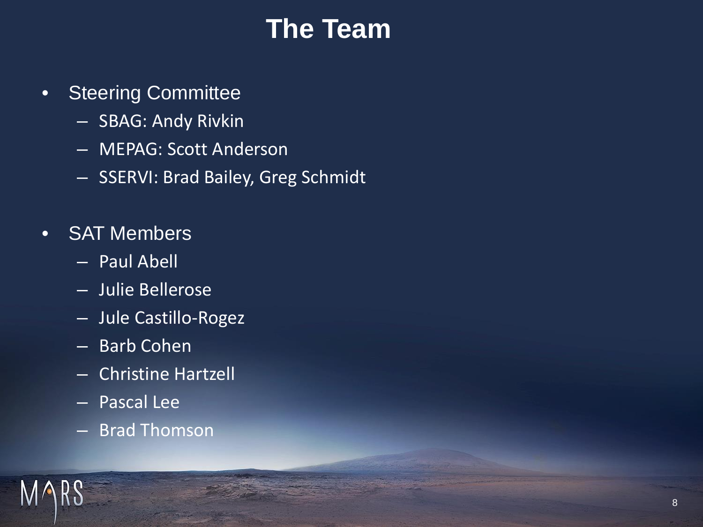## **The Team**

- Steering Committee
	- SBAG: Andy Rivkin
	- MEPAG: Scott Anderson
	- SSERVI: Brad Bailey, Greg Schmidt
- SAT Members
	- Paul Abell
	- Julie Bellerose
	- Jule Castillo-Rogez
	- Barb Cohen
	- Christine Hartzell
	- Pascal Lee
	- Brad Thomson

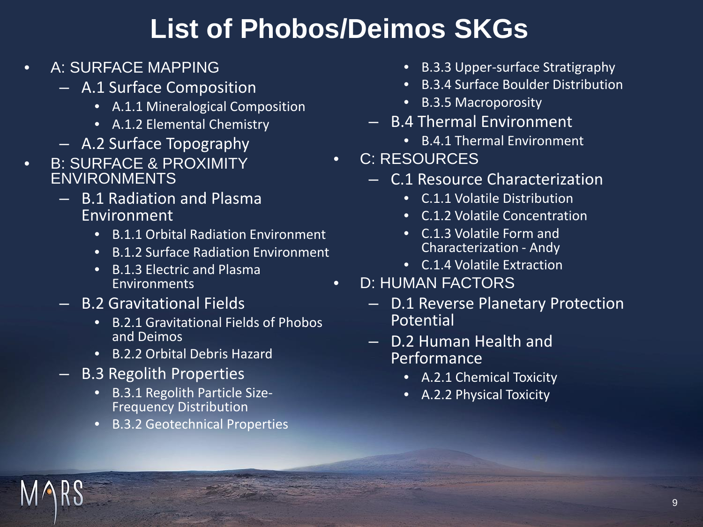## **List of Phobos/Deimos SKGs**

- A: SURFACE MAPPING
	- A.1 Surface Composition
		- A.1.1 Mineralogical Composition
		- A.1.2 Elemental Chemistry
	- A.2 Surface Topography
- **B: SURFACE & PROXIMITY** ENVIRONMENTS
	- B.1 Radiation and Plasma Environment
		- B.1.1 Orbital Radiation Environment
		- B.1.2 Surface Radiation Environment
		- B.1.3 Electric and Plasma Environments
	- B.2 Gravitational Fields
		- B.2.1 Gravitational Fields of Phobos and Deimos
		- B.2.2 Orbital Debris Hazard
	- B.3 Regolith Properties
		- B.3.1 Regolith Particle Size- Frequency Distribution
		- B.3.2 Geotechnical Properties
- B.3.3 Upper-surface Stratigraphy
- B.3.4 Surface Boulder Distribution
- B.3.5 Macroporosity
- B.4 Thermal Environment
	- B.4.1 Thermal Environment
- C: RESOURCES
	- C.1 Resource Characterization
		- C.1.1 Volatile Distribution
		- C.1.2 Volatile Concentration
		- C.1.3 Volatile Form and Characterization - Andy
		- C.1.4 Volatile Extraction
- D: HUMAN FACTORS
	- D.1 Reverse Planetary Protection Potential
	- D.2 Human Health and **Performance** 
		- A.2.1 Chemical Toxicity
		- A.2.2 Physical Toxicity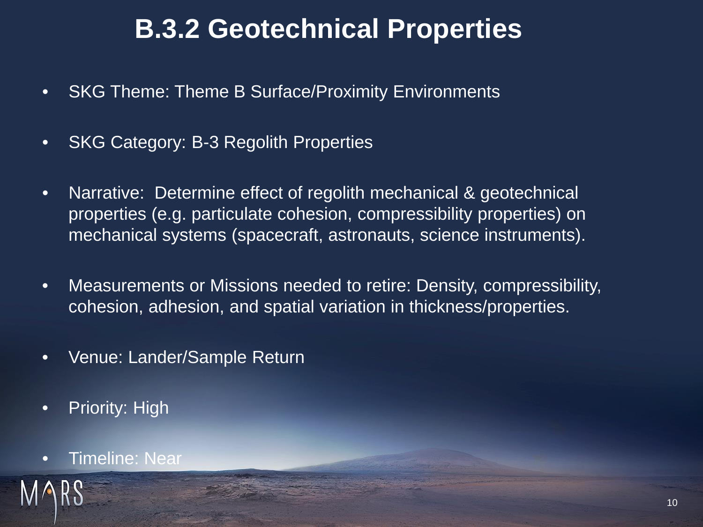## **B.3.2 Geotechnical Properties**

- SKG Theme: Theme B Surface/Proximity Environments
- SKG Category: B-3 Regolith Properties
- Narrative: Determine effect of regolith mechanical & geotechnical properties (e.g. particulate cohesion, compressibility properties) on mechanical systems (spacecraft, astronauts, science instruments).
- Measurements or Missions needed to retire: Density, compressibility, cohesion, adhesion, and spatial variation in thickness/properties.
- Venue: Lander/Sample Return
- Priority: High
- **Timeline: Near**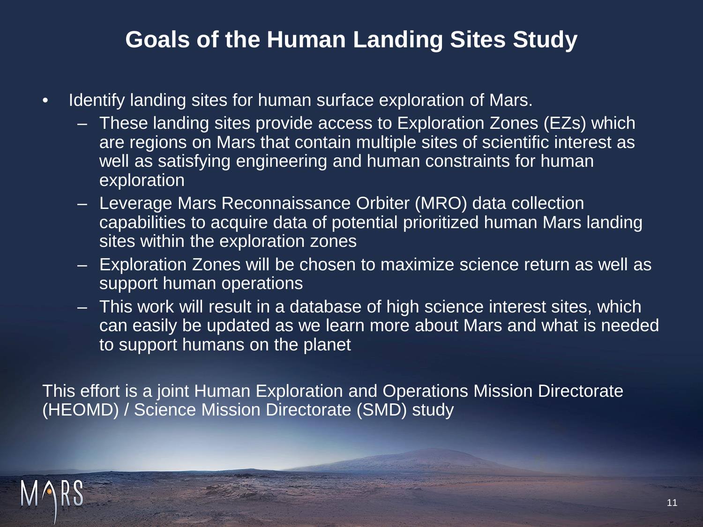### **Goals of the Human Landing Sites Study**

- Identify landing sites for human surface exploration of Mars.
	- These landing sites provide access to Exploration Zones (EZs) which are regions on Mars that contain multiple sites of scientific interest as well as satisfying engineering and human constraints for human exploration
	- Leverage Mars Reconnaissance Orbiter (MRO) data collection capabilities to acquire data of potential prioritized human Mars landing sites within the exploration zones
	- Exploration Zones will be chosen to maximize science return as well as support human operations
	- This work will result in a database of high science interest sites, which can easily be updated as we learn more about Mars and what is needed to support humans on the planet

This effort is a joint Human Exploration and Operations Mission Directorate (HEOMD) / Science Mission Directorate (SMD) study

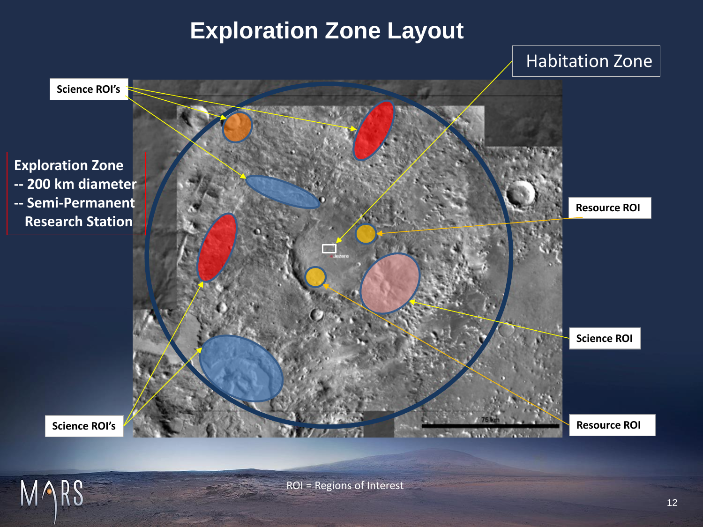### **Exploration Zone Layout**



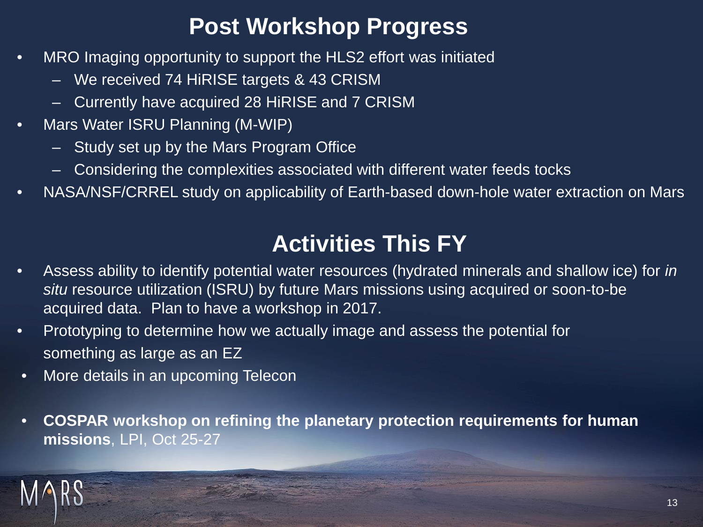### **Post Workshop Progress**

- MRO Imaging opportunity to support the HLS2 effort was initiated
	- We received 74 HiRISE targets & 43 CRISM
	- Currently have acquired 28 HiRISE and 7 CRISM
- Mars Water ISRU Planning (M-WIP)
	- Study set up by the Mars Program Office
	- Considering the complexities associated with different water feeds tocks
- NASA/NSF/CRREL study on applicability of Earth-based down-hole water extraction on Mars

## **Activities This FY**

- Assess ability to identify potential water resources (hydrated minerals and shallow ice) for *in situ* resource utilization (ISRU) by future Mars missions using acquired or soon-to-be acquired data. Plan to have a workshop in 2017.
- Prototyping to determine how we actually image and assess the potential for something as large as an EZ
- More details in an upcoming Telecon
- **COSPAR workshop on refining the planetary protection requirements for human missions**, LPI, Oct 25-27